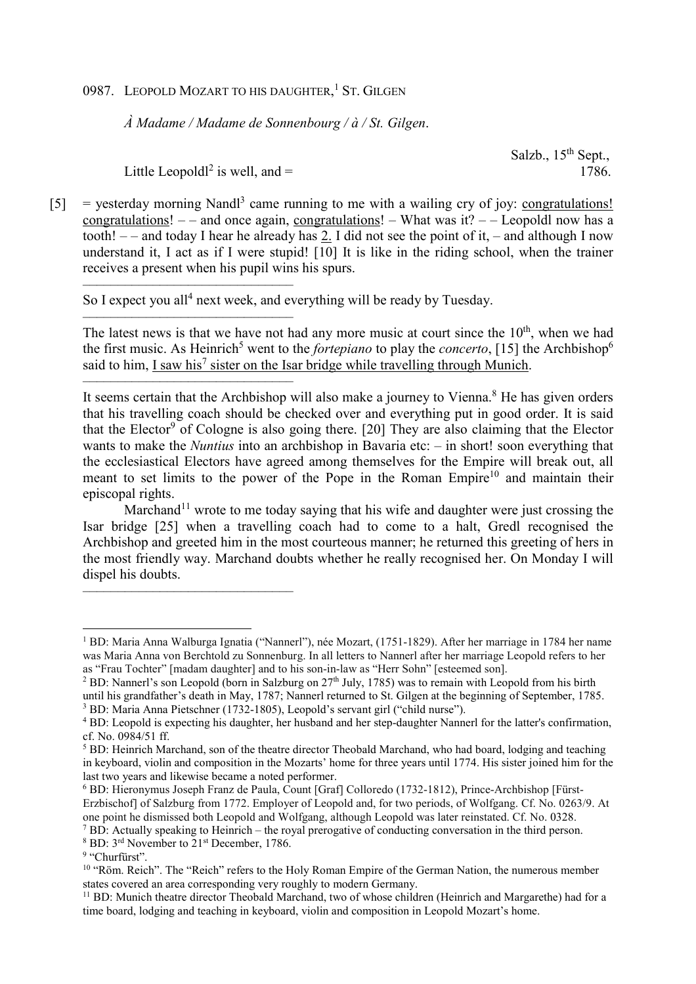## 0987. LEOPOLD MOZART TO HIS DAUGHTER,<sup>1</sup> ST. GILGEN

*À Madame / Madame de Sonnenbourg / à / St. Gilgen*.

Salzb., 15<sup>th</sup> Sept.,

Little Leopold<sup> $2$ </sup> is well, and  $=$  1786.

––––––––––––––––––––––––––––––

––––––––––––––––––––––––––––––

––––––––––––––––––––––––––––––

 $[5]$  = yesterday morning Nandl<sup>3</sup> came running to me with a wailing cry of joy: congratulations! congratulations!  $-$  – and once again, congratulations! – What was it?  $-$  Leopoldl now has a tooth!  $-$  – and today I hear he already has 2. I did not see the point of it, – and although I now understand it, I act as if I were stupid! [10] It is like in the riding school, when the trainer receives a present when his pupil wins his spurs.

So I expect you all<sup>4</sup> next week, and everything will be ready by Tuesday.

The latest news is that we have not had any more music at court since the  $10<sup>th</sup>$ , when we had the first music. As Heinrich<sup>5</sup> went to the *fortepiano* to play the *concerto*, [15] the Archbishop<sup>6</sup> said to him, I saw his<sup>7</sup> sister on the Isar bridge while travelling through Munich.

–––––––––––––––––––––––––––––– It seems certain that the Archbishop will also make a journey to Vienna.<sup>8</sup> He has given orders that his travelling coach should be checked over and everything put in good order. It is said that the Elector<sup>9</sup> of Cologne is also going there. [20] They are also claiming that the Elector wants to make the *Nuntius* into an archbishop in Bavaria etc: – in short! soon everything that the ecclesiastical Electors have agreed among themselves for the Empire will break out, all meant to set limits to the power of the Pope in the Roman Empire<sup>10</sup> and maintain their episcopal rights.

Marchand<sup>11</sup> wrote to me today saying that his wife and daughter were just crossing the Isar bridge [25] when a travelling coach had to come to a halt, Gredl recognised the Archbishop and greeted him in the most courteous manner; he returned this greeting of hers in the most friendly way. Marchand doubts whether he really recognised her. On Monday I will dispel his doubts.

l

<sup>1</sup> BD: Maria Anna Walburga Ignatia ("Nannerl"), née Mozart, (1751-1829). After her marriage in 1784 her name was Maria Anna von Berchtold zu Sonnenburg. In all letters to Nannerl after her marriage Leopold refers to her as "Frau Tochter" [madam daughter] and to his son-in-law as "Herr Sohn" [esteemed son].

<sup>&</sup>lt;sup>2</sup> BD: Nannerl's son Leopold (born in Salzburg on  $27<sup>th</sup>$  July, 1785) was to remain with Leopold from his birth until his grandfather's death in May, 1787; Nannerl returned to St. Gilgen at the beginning of September, 1785. <sup>3</sup> BD: Maria Anna Pietschner (1732-1805), Leopold's servant girl ("child nurse").

<sup>&</sup>lt;sup>4</sup> BD: Leopold is expecting his daughter, her husband and her step-daughter Nannerl for the latter's confirmation, cf. No. 0984/51 ff.

<sup>&</sup>lt;sup>5</sup> BD: Heinrich Marchand, son of the theatre director Theobald Marchand, who had board, lodging and teaching in keyboard, violin and composition in the Mozarts' home for three years until 1774. His sister joined him for the last two years and likewise became a noted performer.

<sup>6</sup> BD: Hieronymus Joseph Franz de Paula, Count [Graf] Colloredo (1732-1812), Prince-Archbishop [Fürst-Erzbischof] of Salzburg from 1772. Employer of Leopold and, for two periods, of Wolfgang. Cf. No. 0263/9. At one point he dismissed both Leopold and Wolfgang, although Leopold was later reinstated. Cf. No. 0328.

<sup>&</sup>lt;sup>7</sup> BD: Actually speaking to Heinrich – the royal prerogative of conducting conversation in the third person. 8 BD: 3rd November to 21st December, 1786.

<sup>&</sup>lt;sup>9</sup> "Churfürst".

<sup>&</sup>lt;sup>10</sup> "Röm. Reich". The "Reich" refers to the Holy Roman Empire of the German Nation, the numerous member states covered an area corresponding very roughly to modern Germany.

<sup>11</sup> BD: Munich theatre director Theobald Marchand, two of whose children (Heinrich and Margarethe) had for a time board, lodging and teaching in keyboard, violin and composition in Leopold Mozart's home.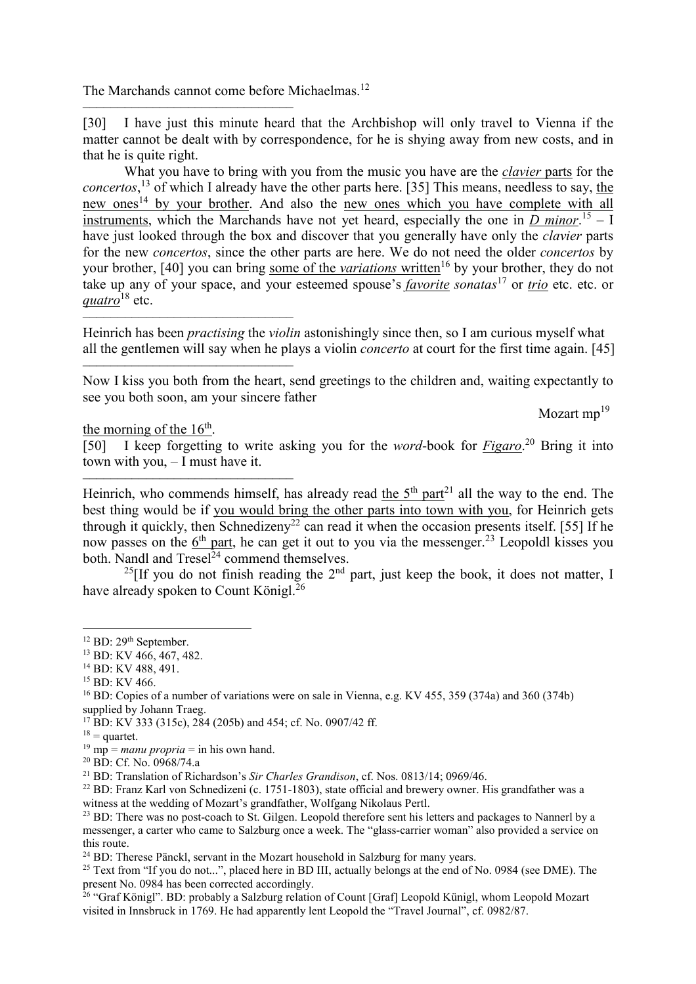The Marchands cannot come before Michaelmas.<sup>12</sup>

––––––––––––––––––––––––––––––

––––––––––––––––––––––––––––––

––––––––––––––––––––––––––––––

––––––––––––––––––––––––––––––

[30] I have just this minute heard that the Archbishop will only travel to Vienna if the matter cannot be dealt with by correspondence, for he is shying away from new costs, and in that he is quite right.

What you have to bring with you from the music you have are the *clavier* parts for the *concertos*, <sup>13</sup> of which I already have the other parts here. [35] This means, needless to say, the new ones<sup>14</sup> by your brother. And also the new ones which you have complete with all instruments, which the Marchands have not yet heard, especially the one in  $\frac{D \text{ minor.}}{D}$  – I have just looked through the box and discover that you generally have only the *clavier* parts for the new *concertos*, since the other parts are here. We do not need the older *concertos* by your brother, [40] you can bring <u>some of the *variations*</u> written<sup>16</sup> by your brother, they do not take up any of your space, and your esteemed spouse's *favorite sonatas*<sup>17</sup> or *trio* etc. etc. or *quatro*<sup>18</sup> etc.

Heinrich has been *practising* the *violin* astonishingly since then, so I am curious myself what all the gentlemen will say when he plays a violin *concerto* at court for the first time again. [45]

Now I kiss you both from the heart, send greetings to the children and, waiting expectantly to see you both soon, am your sincere father

Mozart  $mp^{19}$ 

the morning of the  $16<sup>th</sup>$ .

[50] I keep forgetting to write asking you for the *word*-book for *Figaro*. <sup>20</sup> Bring it into town with you, – I must have it.

Heinrich, who commends himself, has already read the  $5<sup>th</sup>$  part<sup>21</sup> all the way to the end. The best thing would be if you would bring the other parts into town with you, for Heinrich gets through it quickly, then Schnedizeny<sup>22</sup> can read it when the occasion presents itself. [55] If he now passes on the  $6<sup>th</sup>$  part, he can get it out to you via the messenger.<sup>23</sup> Leopoldl kisses you both. Nandl and  $Tresel<sup>24</sup>$  commend themselves.

<sup>25</sup>[If you do not finish reading the  $2<sup>nd</sup>$  part, just keep the book, it does not matter, I have already spoken to Count Königl. $^{26}$ 

- <sup>13</sup> BD: KV 466, 467, 482.
- <sup>14</sup> BD: KV 488, 491.

l

<sup>17</sup> BD: KV 333 (315c), 284 (205b) and 454; cf. No. 0907/42 ff.

<sup>&</sup>lt;sup>12</sup> BD: 29<sup>th</sup> September.

<sup>15</sup> BD: KV 466.

<sup>16</sup> BD: Copies of a number of variations were on sale in Vienna, e.g. KV 455, 359 (374a) and 360 (374b) supplied by Johann Traeg.

 $18$  = quartet.

 $19 \text{ mp} =$  *manu propria* = in his own hand.

<sup>20</sup> BD: Cf. No. 0968/74.a

<sup>21</sup> BD: Translation of Richardson's *Sir Charles Grandison*, cf. Nos. 0813/14; 0969/46.

 $^{22}$  BD: Franz Karl von Schnedizeni (c. 1751-1803), state official and brewery owner. His grandfather was a witness at the wedding of Mozart's grandfather, Wolfgang Nikolaus Pertl.

<sup>&</sup>lt;sup>23</sup> BD: There was no post-coach to St. Gilgen. Leopold therefore sent his letters and packages to Nannerl by a messenger, a carter who came to Salzburg once a week. The "glass-carrier woman" also provided a service on this route.

<sup>&</sup>lt;sup>24</sup> BD: Therese Pänckl, servant in the Mozart household in Salzburg for many years.

<sup>&</sup>lt;sup>25</sup> Text from "If you do not...", placed here in BD III, actually belongs at the end of No. 0984 (see DME). The present No. 0984 has been corrected accordingly.

<sup>&</sup>lt;sup>26</sup> "Graf Königl". BD: probably a Salzburg relation of Count [Graf] Leopold Künigl, whom Leopold Mozart visited in Innsbruck in 1769. He had apparently lent Leopold the "Travel Journal", cf. 0982/87.